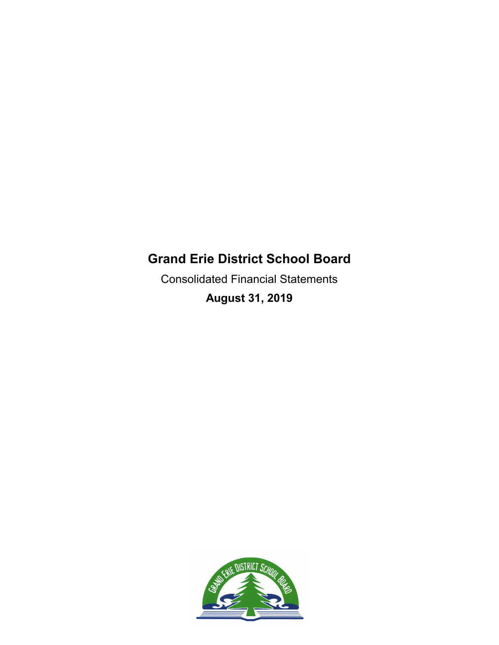Consolidated Financial Statements **August 31, 2019**

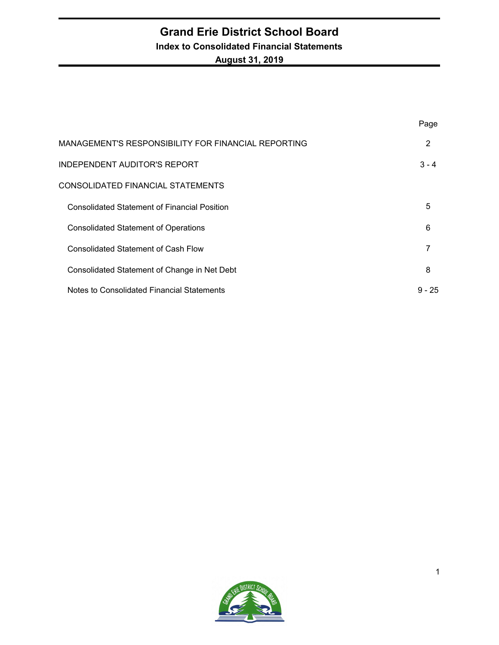### **Grand Erie District School Board Index to Consolidated Financial Statements August 31, 2019**

|                                                     | Page     |
|-----------------------------------------------------|----------|
| MANAGEMENT'S RESPONSIBILITY FOR FINANCIAL REPORTING | 2        |
| <b>INDEPENDENT AUDITOR'S REPORT</b>                 | $3 - 4$  |
| CONSOLIDATED FINANCIAL STATEMENTS                   |          |
| <b>Consolidated Statement of Financial Position</b> | 5        |
| <b>Consolidated Statement of Operations</b>         | 6        |
| <b>Consolidated Statement of Cash Flow</b>          | 7        |
| Consolidated Statement of Change in Net Debt        | 8        |
| Notes to Consolidated Financial Statements          | $9 - 25$ |

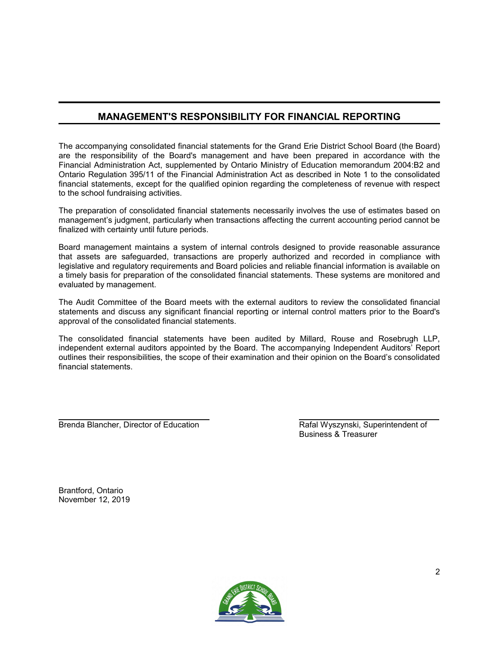### **MANAGEMENT'S RESPONSIBILITY FOR FINANCIAL REPORTING**

The accompanying consolidated financial statements for the Grand Erie District School Board (the Board) are the responsibility of the Board's management and have been prepared in accordance with the Financial Administration Act, supplemented by Ontario Ministry of Education memorandum 2004:B2 and Ontario Regulation 395/11 of the Financial Administration Act as described in Note 1 to the consolidated financial statements, except for the qualified opinion regarding the completeness of revenue with respect to the school fundraising activities.

The preparation of consolidated financial statements necessarily involves the use of estimates based on management's judgment, particularly when transactions affecting the current accounting period cannot be finalized with certainty until future periods.

Board management maintains a system of internal controls designed to provide reasonable assurance that assets are safeguarded, transactions are properly authorized and recorded in compliance with legislative and regulatory requirements and Board policies and reliable financial information is available on a timely basis for preparation of the consolidated financial statements. These systems are monitored and evaluated by management.

The Audit Committee of the Board meets with the external auditors to review the consolidated financial statements and discuss any significant financial reporting or internal control matters prior to the Board's approval of the consolidated financial statements.

The consolidated financial statements have been audited by Millard, Rouse and Rosebrugh LLP, independent external auditors appointed by the Board. The accompanying Independent Auditors' Report outlines their responsibilities, the scope of their examination and their opinion on the Board's consolidated financial statements.

Brenda Blancher, Director of Education **Rafal Wyszynski, Superintendent of** Rafal Wyszynski, Superintendent of

Business & Treasurer

Brantford, Ontario November 12, 2019

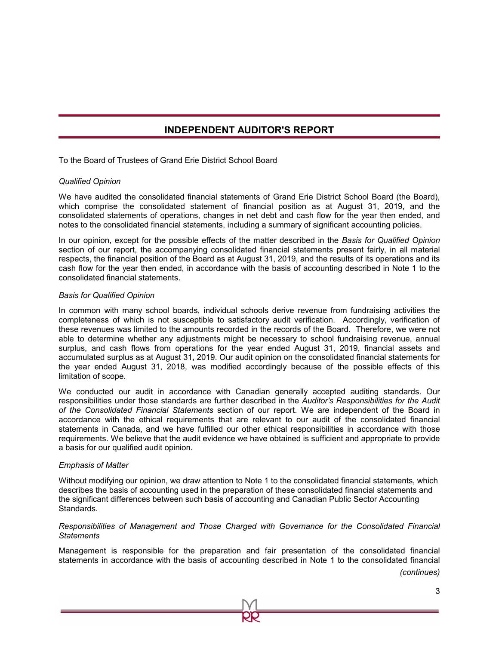### **INDEPENDENT AUDITOR'S REPORT**

To the Board of Trustees of Grand Erie District School Board

#### *Qualified Opinion*

We have audited the consolidated financial statements of Grand Erie District School Board (the Board), which comprise the consolidated statement of financial position as at August 31, 2019, and the consolidated statements of operations, changes in net debt and cash flow for the year then ended, and notes to the consolidated financial statements, including a summary of significant accounting policies.

In our opinion, except for the possible effects of the matter described in the *Basis for Qualified Opinion* section of our report, the accompanying consolidated financial statements present fairly, in all material respects, the financial position of the Board as at August 31, 2019, and the results of its operations and its cash flow for the year then ended, in accordance with the basis of accounting described in Note 1 to the consolidated financial statements.

#### *Basis for Qualified Opinion*

In common with many school boards, individual schools derive revenue from fundraising activities the completeness of which is not susceptible to satisfactory audit verification. Accordingly, verification of these revenues was limited to the amounts recorded in the records of the Board. Therefore, we were not able to determine whether any adjustments might be necessary to school fundraising revenue, annual surplus, and cash flows from operations for the year ended August 31, 2019, financial assets and accumulated surplus as at August 31, 2019. Our audit opinion on the consolidated financial statements for the year ended August 31, 2018, was modified accordingly because of the possible effects of this limitation of scope.

We conducted our audit in accordance with Canadian generally accepted auditing standards. Our responsibilities under those standards are further described in the *Auditor's Responsibilities for the Audit of the Consolidated Financial Statements* section of our report. We are independent of the Board in accordance with the ethical requirements that are relevant to our audit of the consolidated financial statements in Canada, and we have fulfilled our other ethical responsibilities in accordance with those requirements. We believe that the audit evidence we have obtained is sufficient and appropriate to provide a basis for our qualified audit opinion.

#### *Emphasis of Matter*

Without modifying our opinion, we draw attention to Note 1 to the consolidated financial statements, which describes the basis of accounting used in the preparation of these consolidated financial statements and the significant differences between such basis of accounting and Canadian Public Sector Accounting Standards.

#### *Responsibilities of Management and Those Charged with Governance for the Consolidated Financial Statements*

Management is responsible for the preparation and fair presentation of the consolidated financial statements in accordance with the basis of accounting described in Note 1 to the consolidated financial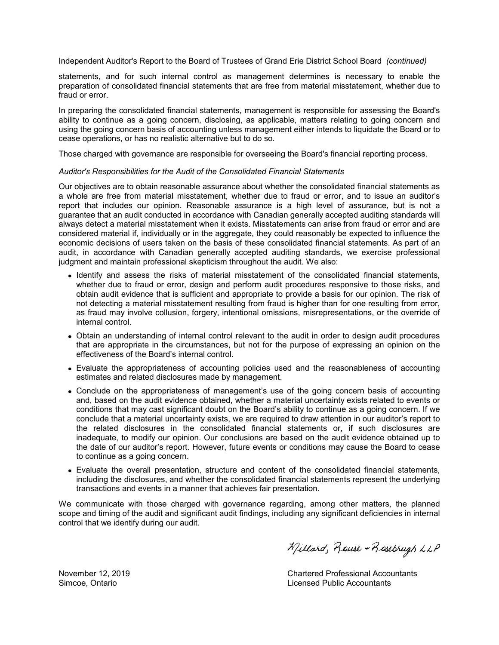Independent Auditor's Report to the Board of Trustees of Grand Erie District School Board *(continued)*

statements, and for such internal control as management determines is necessary to enable the preparation of consolidated financial statements that are free from material misstatement, whether due to fraud or error.

In preparing the consolidated financial statements, management is responsible for assessing the Board's ability to continue as a going concern, disclosing, as applicable, matters relating to going concern and using the going concern basis of accounting unless management either intends to liquidate the Board or to cease operations, or has no realistic alternative but to do so.

Those charged with governance are responsible for overseeing the Board's financial reporting process.

#### *Auditor's Responsibilities for the Audit of the Consolidated Financial Statements*

Our objectives are to obtain reasonable assurance about whether the consolidated financial statements as a whole are free from material misstatement, whether due to fraud or error, and to issue an auditor's report that includes our opinion. Reasonable assurance is a high level of assurance, but is not a guarantee that an audit conducted in accordance with Canadian generally accepted auditing standards will always detect a material misstatement when it exists. Misstatements can arise from fraud or error and are considered material if, individually or in the aggregate, they could reasonably be expected to influence the economic decisions of users taken on the basis of these consolidated financial statements. As part of an audit, in accordance with Canadian generally accepted auditing standards, we exercise professional judgment and maintain professional skepticism throughout the audit. We also:

- Identify and assess the risks of material misstatement of the consolidated financial statements, whether due to fraud or error, design and perform audit procedures responsive to those risks, and obtain audit evidence that is sufficient and appropriate to provide a basis for our opinion. The risk of not detecting a material misstatement resulting from fraud is higher than for one resulting from error, as fraud may involve collusion, forgery, intentional omissions, misrepresentations, or the override of internal control.
- Obtain an understanding of internal control relevant to the audit in order to design audit procedures that are appropriate in the circumstances, but not for the purpose of expressing an opinion on the effectiveness of the Board's internal control.
- Evaluate the appropriateness of accounting policies used and the reasonableness of accounting estimates and related disclosures made by management.
- Conclude on the appropriateness of management's use of the going concern basis of accounting and, based on the audit evidence obtained, whether a material uncertainty exists related to events or conditions that may cast significant doubt on the Board's ability to continue as a going concern. If we conclude that a material uncertainty exists, we are required to draw attention in our auditor's report to the related disclosures in the consolidated financial statements or, if such disclosures are inadequate, to modify our opinion. Our conclusions are based on the audit evidence obtained up to the date of our auditor's report. However, future events or conditions may cause the Board to cease to continue as a going concern.
- Evaluate the overall presentation, structure and content of the consolidated financial statements, including the disclosures, and whether the consolidated financial statements represent the underlying transactions and events in a manner that achieves fair presentation.

We communicate with those charged with governance regarding, among other matters, the planned scope and timing of the audit and significant audit findings, including any significant deficiencies in internal control that we identify during our audit.

Millard, Rouse + Rosebrugh LLP

November 12, 2019 Chartered Professional Accountants Simcoe, Ontario Licensed Public Accountants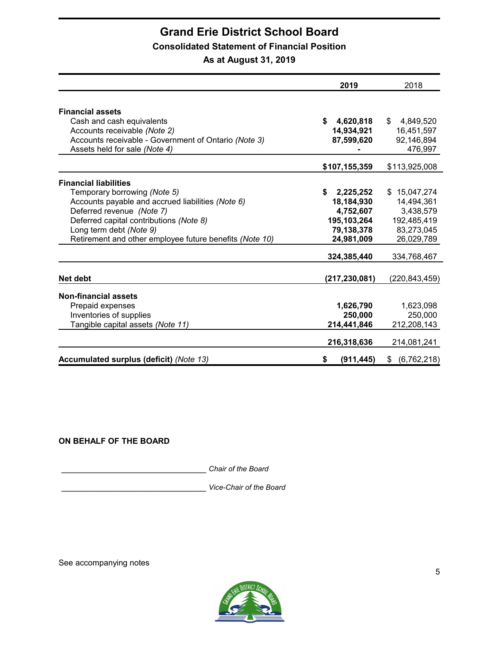### **Consolidated Statement of Financial Position**

**As at August 31, 2019**

|                                                         | 2019            | 2018                |
|---------------------------------------------------------|-----------------|---------------------|
|                                                         |                 |                     |
| <b>Financial assets</b>                                 |                 |                     |
| Cash and cash equivalents                               | \$<br>4,620,818 | \$<br>4,849,520     |
| Accounts receivable (Note 2)                            | 14,934,921      | 16,451,597          |
| Accounts receivable - Government of Ontario (Note 3)    | 87,599,620      | 92,146,894          |
| Assets held for sale (Note 4)                           |                 | 476,997             |
|                                                         | \$107,155,359   | \$113,925,008       |
| <b>Financial liabilities</b>                            |                 |                     |
| Temporary borrowing (Note 5)                            | \$<br>2,225,252 | \$<br>15,047,274    |
| Accounts payable and accrued liabilities (Note 6)       | 18,184,930      | 14,494,361          |
| Deferred revenue (Note 7)                               | 4,752,607       | 3,438,579           |
| Deferred capital contributions (Note 8)                 | 195,103,264     | 192,485,419         |
| Long term debt (Note 9)                                 | 79,138,378      | 83,273,045          |
| Retirement and other employee future benefits (Note 10) | 24,981,009      | 26,029,789          |
|                                                         | 324,385,440     | 334,768,467         |
|                                                         |                 |                     |
| Net debt                                                | (217,230,081)   | (220, 843, 459)     |
| <b>Non-financial assets</b>                             |                 |                     |
| Prepaid expenses                                        | 1,626,790       | 1,623,098           |
| Inventories of supplies                                 | 250,000         | 250,000             |
| Tangible capital assets (Note 11)                       | 214,441,846     | 212,208,143         |
|                                                         | 216,318,636     | 214,081,241         |
| Accumulated surplus (deficit) (Note 13)                 | \$<br>(911,445) | (6, 762, 218)<br>\$ |

### **ON BEHALF OF THE BOARD**

\_\_\_\_\_\_\_\_\_\_\_\_\_\_\_\_\_\_\_\_\_\_\_\_\_\_\_\_\_ *Chair of the Board*

\_\_\_\_\_\_\_\_\_\_\_\_\_\_\_\_\_\_\_\_\_\_\_\_\_\_\_\_\_ *Vice-Chair of the Board*

See accompanying notes

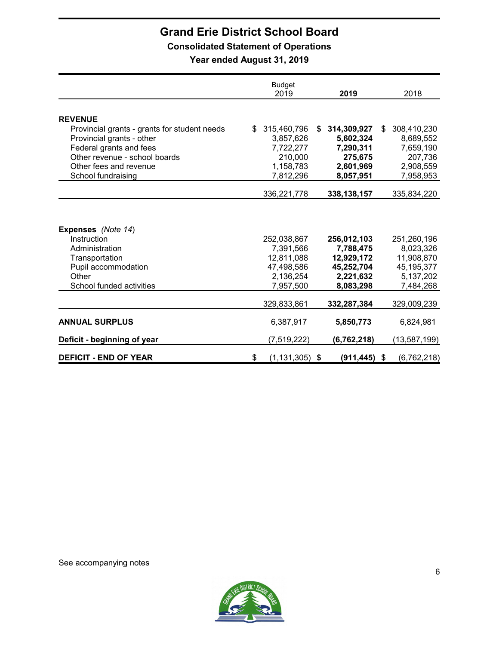### **Consolidated Statement of Operations**

**Year ended August 31, 2019**

|                                              | <b>Budget</b><br>2019    | 2019              | 2018              |
|----------------------------------------------|--------------------------|-------------------|-------------------|
|                                              |                          |                   |                   |
| <b>REVENUE</b>                               |                          |                   |                   |
| Provincial grants - grants for student needs | 315,460,796<br>\$        | 314,309,927<br>\$ | 308,410,230<br>\$ |
| Provincial grants - other                    | 3,857,626                | 5,602,324         | 8,689,552         |
| Federal grants and fees                      | 7,722,277                | 7,290,311         | 7,659,190         |
| Other revenue - school boards                | 210,000                  | 275.675           | 207,736           |
| Other fees and revenue                       | 1,158,783                | 2,601,969         | 2,908,559         |
| School fundraising                           | 7,812,296                | 8,057,951         | 7,958,953         |
|                                              |                          |                   |                   |
|                                              | 336,221,778              | 338, 138, 157     | 335,834,220       |
| Expenses (Note 14)                           |                          |                   |                   |
| Instruction                                  | 252,038,867              | 256,012,103       | 251,260,196       |
| Administration                               | 7,391,566                | 7,788,475         | 8,023,326         |
| Transportation                               | 12,811,088               | 12,929,172        | 11,908,870        |
| Pupil accommodation                          | 47,498,586               | 45,252,704        | 45, 195, 377      |
| Other                                        | 2,136,254                | 2,221,632         | 5,137,202         |
| School funded activities                     | 7,957,500                | 8,083,298         | 7,484,268         |
|                                              | 329,833,861              | 332,287,384       | 329,009,239       |
| <b>ANNUAL SURPLUS</b>                        | 6,387,917                | 5,850,773         | 6,824,981         |
| Deficit - beginning of year                  | (7,519,222)              | (6, 762, 218)     | (13,587,199)      |
| <b>DEFICIT - END OF YEAR</b>                 | \$<br>$(1, 131, 305)$ \$ | $(911, 445)$ \$   | (6,762,218)       |

See accompanying notes

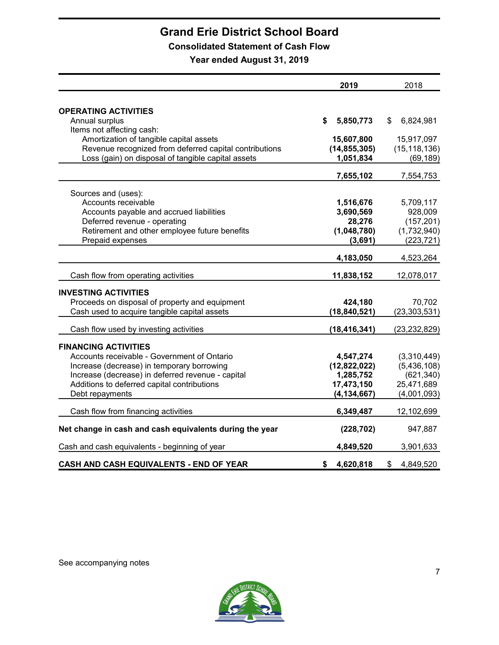### **Consolidated Statement of Cash Flow**

**Year ended August 31, 2019**

|                                                         | 2019            | 2018            |
|---------------------------------------------------------|-----------------|-----------------|
|                                                         |                 |                 |
| <b>OPERATING ACTIVITIES</b>                             |                 |                 |
| Annual surplus                                          | \$<br>5,850,773 | 6,824,981<br>\$ |
| Items not affecting cash:                               |                 |                 |
| Amortization of tangible capital assets                 | 15,607,800      | 15,917,097      |
| Revenue recognized from deferred capital contributions  | (14, 855, 305)  | (15, 118, 136)  |
| Loss (gain) on disposal of tangible capital assets      | 1,051,834       | (69, 189)       |
|                                                         | 7,655,102       | 7,554,753       |
| Sources and (uses):                                     |                 |                 |
| Accounts receivable                                     | 1,516,676       | 5,709,117       |
| Accounts payable and accrued liabilities                | 3,690,569       | 928,009         |
| Deferred revenue - operating                            | 28,276          | (157, 201)      |
| Retirement and other employee future benefits           | (1,048,780)     | (1,732,940)     |
| Prepaid expenses                                        | (3,691)         | (223, 721)      |
|                                                         |                 |                 |
|                                                         | 4,183,050       | 4,523,264       |
| Cash flow from operating activities                     | 11,838,152      | 12,078,017      |
| <b>INVESTING ACTIVITIES</b>                             |                 |                 |
| Proceeds on disposal of property and equipment          | 424,180         | 70,702          |
| Cash used to acquire tangible capital assets            | (18, 840, 521)  | (23, 303, 531)  |
|                                                         |                 |                 |
| Cash flow used by investing activities                  | (18, 416, 341)  | (23, 232, 829)  |
| <b>FINANCING ACTIVITIES</b>                             |                 |                 |
| Accounts receivable - Government of Ontario             | 4,547,274       | (3,310,449)     |
| Increase (decrease) in temporary borrowing              | (12,822,022)    | (5,436,108)     |
| Increase (decrease) in deferred revenue - capital       | 1,285,752       | (621, 340)      |
| Additions to deferred capital contributions             | 17,473,150      | 25,471,689      |
| Debt repayments                                         | (4, 134, 667)   | (4,001,093)     |
| Cash flow from financing activities                     | 6,349,487       | 12,102,699      |
|                                                         |                 |                 |
| Net change in cash and cash equivalents during the year | (228, 702)      | 947,887         |
| Cash and cash equivalents - beginning of year           | 4,849,520       | 3,901,633       |
| CASH AND CASH EQUIVALENTS - END OF YEAR                 | 4,620,818<br>\$ | \$<br>4,849,520 |

See accompanying notes

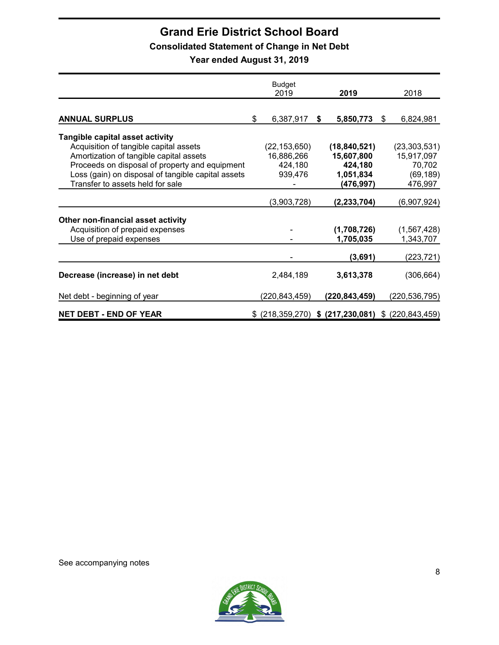### **Consolidated Statement of Change in Net Debt**

**Year ended August 31, 2019**

|                                                    | <b>Budget</b><br>2019 |    | 2019                                | 2018               |
|----------------------------------------------------|-----------------------|----|-------------------------------------|--------------------|
|                                                    |                       |    |                                     |                    |
| <b>ANNUAL SURPLUS</b>                              | \$<br>6,387,917       | S. | 5,850,773                           | \$<br>6,824,981    |
| <b>Tangible capital asset activity</b>             |                       |    |                                     |                    |
| Acquisition of tangible capital assets             | (22, 153, 650)        |    | (18, 840, 521)                      | (23, 303, 531)     |
| Amortization of tangible capital assets            | 16,886,266            |    | 15,607,800                          | 15,917,097         |
| Proceeds on disposal of property and equipment     | 424,180               |    | 424,180                             | 70,702             |
| Loss (gain) on disposal of tangible capital assets | 939,476               |    | 1,051,834                           | (69, 189)          |
| Transfer to assets held for sale                   |                       |    | (476, 997)                          | 476,997            |
|                                                    |                       |    |                                     |                    |
|                                                    | (3,903,728)           |    | (2, 233, 704)                       | (6,907,924)        |
| Other non-financial asset activity                 |                       |    |                                     |                    |
| Acquisition of prepaid expenses                    |                       |    | (1,708,726)                         | (1, 567, 428)      |
| Use of prepaid expenses                            |                       |    | 1,705,035                           | 1,343,707          |
|                                                    |                       |    |                                     |                    |
|                                                    |                       |    | (3,691)                             | (223, 721)         |
| Decrease (increase) in net debt                    | 2,484,189             |    | 3,613,378                           | (306, 664)         |
| Net debt - beginning of year                       | (220, 843, 459)       |    | (220,843,459)                       | (220, 536, 795)    |
| <b>NET DEBT - END OF YEAR</b>                      |                       |    | $$$ (218,359,270) $$$ (217,230,081) | \$ (220, 843, 459) |

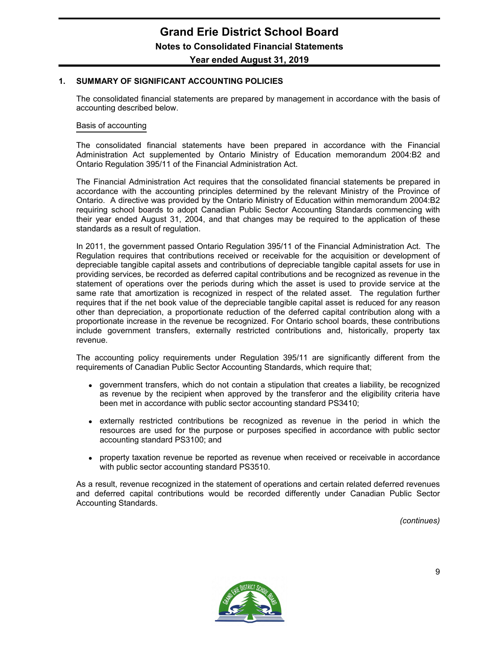#### **1. SUMMARY OF SIGNIFICANT ACCOUNTING POLICIES**

The consolidated financial statements are prepared by management in accordance with the basis of accounting described below.

#### Basis of accounting

The consolidated financial statements have been prepared in accordance with the Financial Administration Act supplemented by Ontario Ministry of Education memorandum 2004:B2 and Ontario Regulation 395/11 of the Financial Administration Act.

The Financial Administration Act requires that the consolidated financial statements be prepared in accordance with the accounting principles determined by the relevant Ministry of the Province of Ontario. A directive was provided by the Ontario Ministry of Education within memorandum 2004:B2 requiring school boards to adopt Canadian Public Sector Accounting Standards commencing with their year ended August 31, 2004, and that changes may be required to the application of these standards as a result of regulation.

In 2011, the government passed Ontario Regulation 395/11 of the Financial Administration Act. The Regulation requires that contributions received or receivable for the acquisition or development of depreciable tangible capital assets and contributions of depreciable tangible capital assets for use in providing services, be recorded as deferred capital contributions and be recognized as revenue in the statement of operations over the periods during which the asset is used to provide service at the same rate that amortization is recognized in respect of the related asset. The regulation further requires that if the net book value of the depreciable tangible capital asset is reduced for any reason other than depreciation, a proportionate reduction of the deferred capital contribution along with a proportionate increase in the revenue be recognized. For Ontario school boards, these contributions include government transfers, externally restricted contributions and, historically, property tax revenue.

The accounting policy requirements under Regulation 395/11 are significantly different from the requirements of Canadian Public Sector Accounting Standards, which require that;

- government transfers, which do not contain a stipulation that creates a liability, be recognized as revenue by the recipient when approved by the transferor and the eligibility criteria have been met in accordance with public sector accounting standard PS3410;
- externally restricted contributions be recognized as revenue in the period in which the resources are used for the purpose or purposes specified in accordance with public sector accounting standard PS3100; and
- property taxation revenue be reported as revenue when received or receivable in accordance with public sector accounting standard PS3510.

As a result, revenue recognized in the statement of operations and certain related deferred revenues and deferred capital contributions would be recorded differently under Canadian Public Sector Accounting Standards.

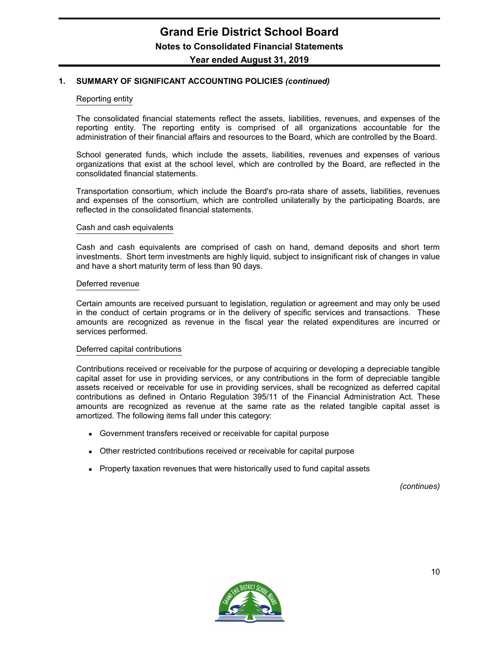#### Reporting entity

The consolidated financial statements reflect the assets, liabilities, revenues, and expenses of the reporting entity. The reporting entity is comprised of all organizations accountable for the administration of their financial affairs and resources to the Board, which are controlled by the Board.

School generated funds, which include the assets, liabilities, revenues and expenses of various organizations that exist at the school level, which are controlled by the Board, are reflected in the consolidated financial statements.

Transportation consortium, which include the Board's pro-rata share of assets, liabilities, revenues and expenses of the consortium, which are controlled unilaterally by the participating Boards, are reflected in the consolidated financial statements.

#### Cash and cash equivalents

Cash and cash equivalents are comprised of cash on hand, demand deposits and short term investments. Short term investments are highly liquid, subject to insignificant risk of changes in value and have a short maturity term of less than 90 days.

#### Deferred revenue

Certain amounts are received pursuant to legislation, regulation or agreement and may only be used in the conduct of certain programs or in the delivery of specific services and transactions. These amounts are recognized as revenue in the fiscal year the related expenditures are incurred or services performed.

#### Deferred capital contributions

Contributions received or receivable for the purpose of acquiring or developing a depreciable tangible capital asset for use in providing services, or any contributions in the form of depreciable tangible assets received or receivable for use in providing services, shall be recognized as deferred capital contributions as defined in Ontario Regulation 395/11 of the Financial Administration Act. These amounts are recognized as revenue at the same rate as the related tangible capital asset is amortized. The following items fall under this category:

- Government transfers received or receivable for capital purpose
- Other restricted contributions received or receivable for capital purpose
- Property taxation revenues that were historically used to fund capital assets

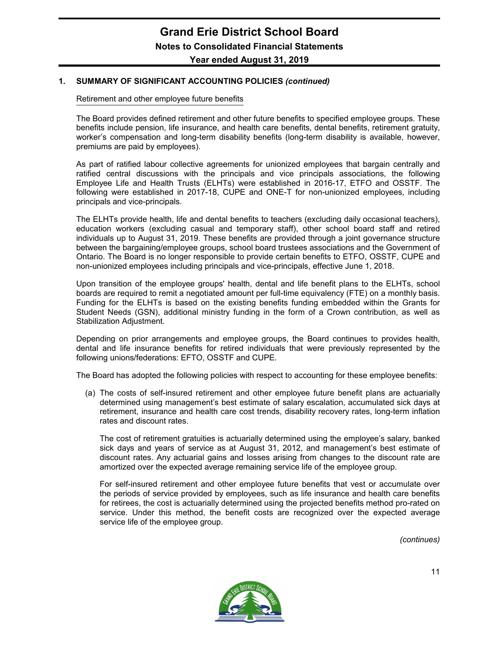Retirement and other employee future benefits

The Board provides defined retirement and other future benefits to specified employee groups. These benefits include pension, life insurance, and health care benefits, dental benefits, retirement gratuity, worker's compensation and long-term disability benefits (long-term disability is available, however, premiums are paid by employees).

As part of ratified labour collective agreements for unionized employees that bargain centrally and ratified central discussions with the principals and vice principals associations, the following Employee Life and Health Trusts (ELHTs) were established in 2016-17, ETFO and OSSTF. The following were established in 2017-18, CUPE and ONE-T for non-unionized employees, including principals and vice-principals.

The ELHTs provide health, life and dental benefits to teachers (excluding daily occasional teachers), education workers (excluding casual and temporary staff), other school board staff and retired individuals up to August 31, 2019. These benefits are provided through a joint governance structure between the bargaining/employee groups, school board trustees associations and the Government of Ontario. The Board is no longer responsible to provide certain benefits to ETFO, OSSTF, CUPE and non-unionized employees including principals and vice-principals, effective June 1, 2018.

Upon transition of the employee groups' health, dental and life benefit plans to the ELHTs, school boards are required to remit a negotiated amount per full-time equivalency (FTE) on a monthly basis. Funding for the ELHTs is based on the existing benefits funding embedded within the Grants for Student Needs (GSN), additional ministry funding in the form of a Crown contribution, as well as Stabilization Adjustment.

Depending on prior arrangements and employee groups, the Board continues to provides health, dental and life insurance benefits for retired individuals that were previously represented by the following unions/federations: EFTO, OSSTF and CUPE.

The Board has adopted the following policies with respect to accounting for these employee benefits:

(a) The costs of self-insured retirement and other employee future benefit plans are actuarially determined using management's best estimate of salary escalation, accumulated sick days at retirement, insurance and health care cost trends, disability recovery rates, long-term inflation rates and discount rates.

The cost of retirement gratuities is actuarially determined using the employee's salary, banked sick days and years of service as at August 31, 2012, and management's best estimate of discount rates. Any actuarial gains and losses arising from changes to the discount rate are amortized over the expected average remaining service life of the employee group.

For self-insured retirement and other employee future benefits that vest or accumulate over the periods of service provided by employees, such as life insurance and health care benefits for retirees, the cost is actuarially determined using the projected benefits method pro-rated on service. Under this method, the benefit costs are recognized over the expected average service life of the employee group.

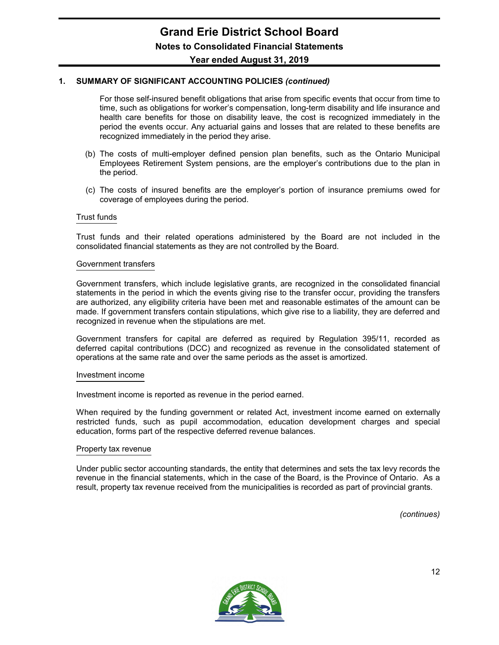For those self-insured benefit obligations that arise from specific events that occur from time to time, such as obligations for worker's compensation, long-term disability and life insurance and health care benefits for those on disability leave, the cost is recognized immediately in the period the events occur. Any actuarial gains and losses that are related to these benefits are recognized immediately in the period they arise.

- (b) The costs of multi-employer defined pension plan benefits, such as the Ontario Municipal Employees Retirement System pensions, are the employer's contributions due to the plan in the period.
- (c) The costs of insured benefits are the employer's portion of insurance premiums owed for coverage of employees during the period.

#### Trust funds

Trust funds and their related operations administered by the Board are not included in the consolidated financial statements as they are not controlled by the Board.

#### Government transfers

Government transfers, which include legislative grants, are recognized in the consolidated financial statements in the period in which the events giving rise to the transfer occur, providing the transfers are authorized, any eligibility criteria have been met and reasonable estimates of the amount can be made. If government transfers contain stipulations, which give rise to a liability, they are deferred and recognized in revenue when the stipulations are met.

Government transfers for capital are deferred as required by Regulation 395/11, recorded as deferred capital contributions (DCC) and recognized as revenue in the consolidated statement of operations at the same rate and over the same periods as the asset is amortized.

#### Investment income

Investment income is reported as revenue in the period earned.

When required by the funding government or related Act, investment income earned on externally restricted funds, such as pupil accommodation, education development charges and special education, forms part of the respective deferred revenue balances.

#### Property tax revenue

Under public sector accounting standards, the entity that determines and sets the tax levy records the revenue in the financial statements, which in the case of the Board, is the Province of Ontario. As a result, property tax revenue received from the municipalities is recorded as part of provincial grants.

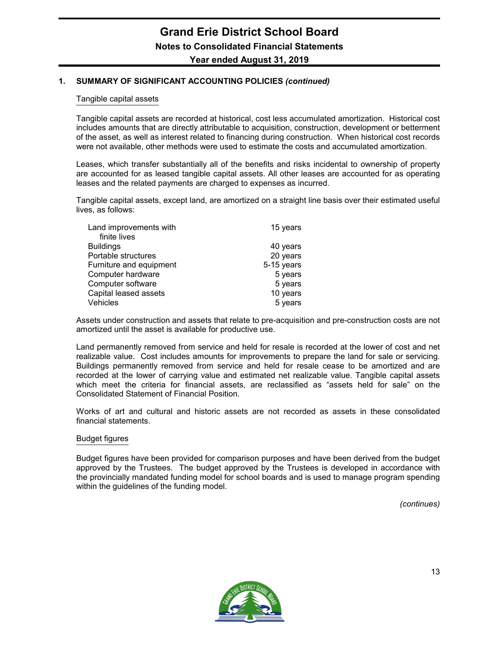#### Tangible capital assets

Tangible capital assets are recorded at historical, cost less accumulated amortization. Historical cost includes amounts that are directly attributable to acquisition, construction, development or betterment of the asset, as well as interest related to financing during construction. When historical cost records were not available, other methods were used to estimate the costs and accumulated amortization.

Leases, which transfer substantially all of the benefits and risks incidental to ownership of property are accounted for as leased tangible capital assets. All other leases are accounted for as operating leases and the related payments are charged to expenses as incurred.

Tangible capital assets, except land, are amortized on a straight line basis over their estimated useful lives, as follows:

| Land improvements with  | 15 years   |
|-------------------------|------------|
| finite lives            |            |
| <b>Buildings</b>        | 40 years   |
| Portable structures     | 20 years   |
| Furniture and equipment | 5-15 years |
| Computer hardware       | 5 years    |
| Computer software       | 5 years    |
| Capital leased assets   | 10 years   |
| Vehicles                | 5 years    |

Assets under construction and assets that relate to pre-acquisition and pre-construction costs are not amortized until the asset is available for productive use.

Land permanently removed from service and held for resale is recorded at the lower of cost and net realizable value. Cost includes amounts for improvements to prepare the land for sale or servicing. Buildings permanently removed from service and held for resale cease to be amortized and are recorded at the lower of carrying value and estimated net realizable value. Tangible capital assets which meet the criteria for financial assets, are reclassified as "assets held for sale" on the Consolidated Statement of Financial Position.

Works of art and cultural and historic assets are not recorded as assets in these consolidated financial statements.

#### Budget figures

Budget figures have been provided for comparison purposes and have been derived from the budget approved by the Trustees. The budget approved by the Trustees is developed in accordance with the provincially mandated funding model for school boards and is used to manage program spending within the guidelines of the funding model.

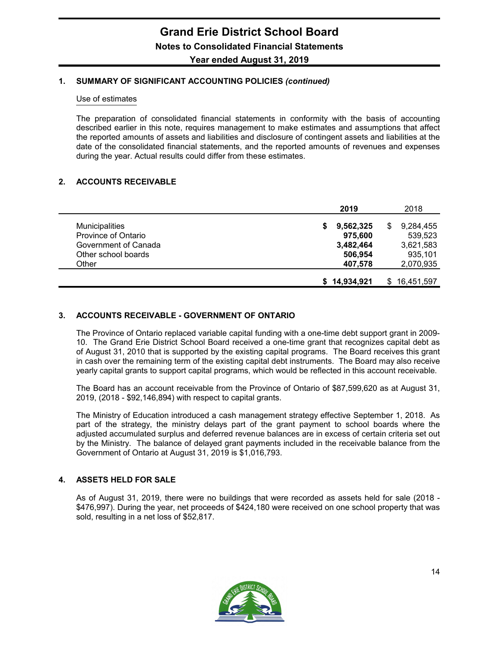#### Use of estimates

The preparation of consolidated financial statements in conformity with the basis of accounting described earlier in this note, requires management to make estimates and assumptions that affect the reported amounts of assets and liabilities and disclosure of contingent assets and liabilities at the date of the consolidated financial statements, and the reported amounts of revenues and expenses during the year. Actual results could differ from these estimates.

#### **2. ACCOUNTS RECEIVABLE**

|                                                      | 2019                            | 2018                              |
|------------------------------------------------------|---------------------------------|-----------------------------------|
| <b>Municipalities</b><br>Province of Ontario         | 9,562,325<br>S<br>975,600       | 9,284,455<br>S<br>539,523         |
| Government of Canada<br>Other school boards<br>Other | 3,482,464<br>506,954<br>407,578 | 3,621,583<br>935,101<br>2,070,935 |
|                                                      | \$14,934,921                    | 16,451,597                        |

#### **3. ACCOUNTS RECEIVABLE - GOVERNMENT OF ONTARIO**

The Province of Ontario replaced variable capital funding with a one-time debt support grant in 2009- 10. The Grand Erie District School Board received a one-time grant that recognizes capital debt as of August 31, 2010 that is supported by the existing capital programs. The Board receives this grant in cash over the remaining term of the existing capital debt instruments. The Board may also receive yearly capital grants to support capital programs, which would be reflected in this account receivable.

The Board has an account receivable from the Province of Ontario of \$87,599,620 as at August 31, 2019, (2018 - \$92,146,894) with respect to capital grants.

The Ministry of Education introduced a cash management strategy effective September 1, 2018. As part of the strategy, the ministry delays part of the grant payment to school boards where the adjusted accumulated surplus and deferred revenue balances are in excess of certain criteria set out by the Ministry. The balance of delayed grant payments included in the receivable balance from the Government of Ontario at August 31, 2019 is \$1,016,793.

#### **4. ASSETS HELD FOR SALE**

As of August 31, 2019, there were no buildings that were recorded as assets held for sale (2018 - \$476,997). During the year, net proceeds of \$424,180 were received on one school property that was sold, resulting in a net loss of \$52,817.

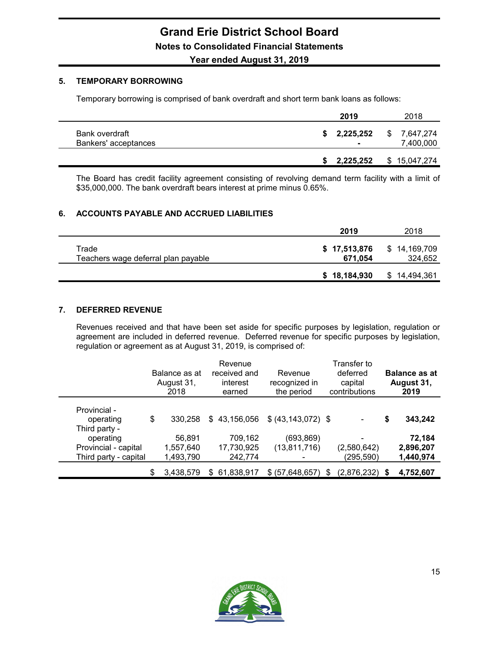#### **5. TEMPORARY BORROWING**

Temporary borrowing is comprised of bank overdraft and short term bank loans as follows:

|                                        | 2019                  | 2018                         |
|----------------------------------------|-----------------------|------------------------------|
| Bank overdraft<br>Bankers' acceptances | \$2,225,252<br>$\sim$ | \$<br>7.647.274<br>7,400,000 |
|                                        | 2,225,252             | \$15,047,274                 |

The Board has credit facility agreement consisting of revolving demand term facility with a limit of \$35,000,000. The bank overdraft bears interest at prime minus 0.65%.

#### **6. ACCOUNTS PAYABLE AND ACCRUED LIABILITIES**

|                                              | 2019                    | 2018                    |
|----------------------------------------------|-------------------------|-------------------------|
| Trade<br>Teachers wage deferral plan payable | \$17,513,876<br>671.054 | \$14,169,709<br>324,652 |
|                                              | \$18,184,930            | \$14,494,361            |

#### **7. DEFERRED REVENUE**

Revenues received and that have been set aside for specific purposes by legislation, regulation or agreement are included in deferred revenue. Deferred revenue for specific purposes by legislation, regulation or agreement as at August 31, 2019, is comprised of:

|                                                                             | Balance as at<br>August 31,<br>2018 |     | Revenue<br>received and<br>interest<br>earned | Revenue<br>recognized in<br>the period |     | Transfer to<br>deferred<br>capital<br>contributions |    | <b>Balance as at</b><br>August 31,<br>2019 |
|-----------------------------------------------------------------------------|-------------------------------------|-----|-----------------------------------------------|----------------------------------------|-----|-----------------------------------------------------|----|--------------------------------------------|
| Provincial -<br>operating                                                   | \$<br>330.258                       | \$  | 43,156,056                                    | \$ (43, 143, 072) \$                   |     |                                                     | \$ | 343,242                                    |
| Third party -<br>operating<br>Provincial - capital<br>Third party - capital | 56,891<br>1,557,640<br>1,493,790    |     | 709,162<br>17,730,925<br>242,774              | (693, 869)<br>(13, 811, 716)           |     | (2,580,642)<br>(295, 590)                           |    | 72,184<br>2,896,207<br>1,440,974           |
|                                                                             | \$<br>3,438,579                     | \$. | 61,838,917                                    | \$ (57,648,657)                        | \$. | (2,876,232)                                         | S  | 4,752,607                                  |

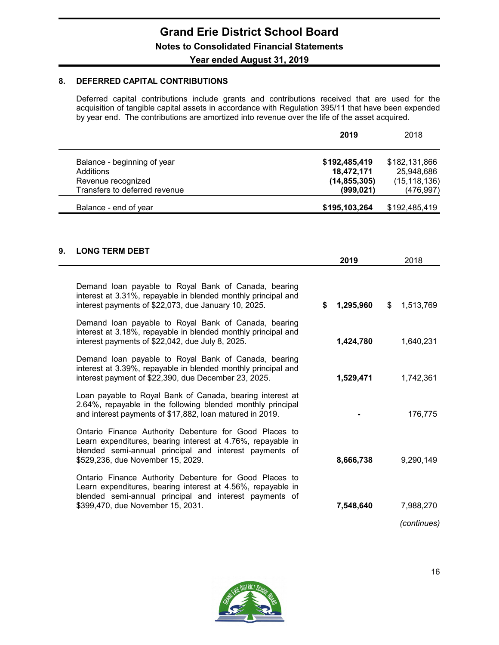#### **8. DEFERRED CAPITAL CONTRIBUTIONS**

Deferred capital contributions include grants and contributions received that are used for the acquisition of tangible capital assets in accordance with Regulation 395/11 that have been expended by year end. The contributions are amortized into revenue over the life of the asset acquired.

|                               | 2019           | 2018           |
|-------------------------------|----------------|----------------|
| Balance - beginning of year   | \$192,485,419  | \$182,131,866  |
| Additions                     | 18,472,171     | 25,948,686     |
| Revenue recognized            | (14, 855, 305) | (15, 118, 136) |
| Transfers to deferred revenue | (999, 021)     | (476, 997)     |
| Balance - end of year         | \$195,103,264  | \$192,485,419  |

#### **9. LONG TERM DEBT**

|                                                                                                                                                                                                                      | 2019            | 2018            |
|----------------------------------------------------------------------------------------------------------------------------------------------------------------------------------------------------------------------|-----------------|-----------------|
| Demand loan payable to Royal Bank of Canada, bearing<br>interest at 3.31%, repayable in blended monthly principal and<br>interest payments of \$22,073, due January 10, 2025.                                        | \$<br>1,295,960 | \$<br>1,513,769 |
| Demand loan payable to Royal Bank of Canada, bearing<br>interest at 3.18%, repayable in blended monthly principal and<br>interest payments of \$22,042, due July 8, 2025.                                            | 1,424,780       | 1,640,231       |
| Demand loan payable to Royal Bank of Canada, bearing<br>interest at 3.39%, repayable in blended monthly principal and<br>interest payment of \$22,390, due December 23, 2025.                                        | 1,529,471       | 1,742,361       |
| Loan payable to Royal Bank of Canada, bearing interest at<br>2.64%, repayable in the following blended monthly principal<br>and interest payments of \$17,882, loan matured in 2019.                                 |                 | 176,775         |
| Ontario Finance Authority Debenture for Good Places to<br>Learn expenditures, bearing interest at 4.76%, repayable in<br>blended semi-annual principal and interest payments of<br>\$529,236, due November 15, 2029. | 8,666,738       | 9,290,149       |
| Ontario Finance Authority Debenture for Good Places to<br>Learn expenditures, bearing interest at 4.56%, repayable in<br>blended semi-annual principal and interest payments of<br>\$399,470, due November 15, 2031. | 7,548,640       | 7,988,270       |
|                                                                                                                                                                                                                      |                 | (continues)     |

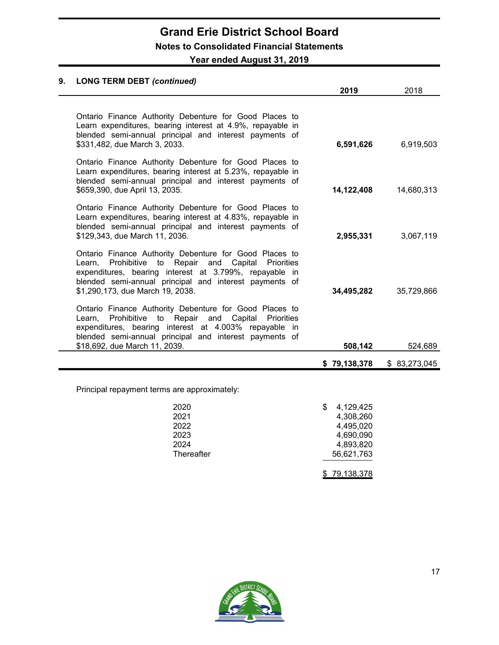# **Grand Erie District School Board Notes to Consolidated Financial Statements**

**Year ended August 31, 2019**

### **9. LONG TERM DEBT** *(continued)* **2019** 2018 Ontario Finance Authority Debenture for Good Places to Learn expenditures, bearing interest at 4.9%, repayable in blended semi-annual principal and interest payments of \$331,482, due March 3, 2033. **6,591,626** 6,919,503 Ontario Finance Authority Debenture for Good Places to Learn expenditures, bearing interest at 5.23%, repayable in blended semi-annual principal and interest payments of \$659,390, due April 13, 2035. **14,122,408** 14,680,313 Ontario Finance Authority Debenture for Good Places to Learn expenditures, bearing interest at 4.83%, repayable in blended semi-annual principal and interest payments of \$129,343, due March 11, 2036. **2,955,331** 3,067,119 Ontario Finance Authority Debenture for Good Places to Learn, Prohibitive to Repair and Capital Priorities expenditures, bearing interest at 3.799%, repayable in blended semi-annual principal and interest payments of \$1,290,173, due March 19, 2038. **34,495,282** 35,729,866 Ontario Finance Authority Debenture for Good Places to Learn, Prohibitive to Repair and Capital Priorities expenditures, bearing interest at 4.003% repayable in blended semi-annual principal and interest payments of \$18,692, due March 11, 2039. **508,142** 524,689 **\$ 79,138,378** \$ 83,273,045

Principal repayment terms are approximately:

| 2020       | 4,129,425    |
|------------|--------------|
| 2021       | 4,308,260    |
| 2022       | 4,495,020    |
| 2023       | 4,690,090    |
| 2024       | 4,893,820    |
| Thereafter | 56,621,763   |
|            |              |
|            | \$79,138,378 |

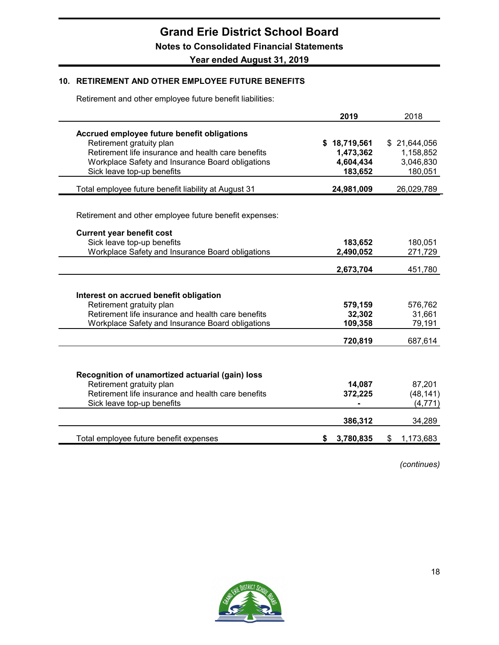#### **10. RETIREMENT AND OTHER EMPLOYEE FUTURE BENEFITS**

Retirement and other employee future benefit liabilities:

|                                                        | 2019            | 2018            |
|--------------------------------------------------------|-----------------|-----------------|
| Accrued employee future benefit obligations            |                 |                 |
| Retirement gratuity plan                               | \$18,719,561    | \$21,644,056    |
| Retirement life insurance and health care benefits     | 1,473,362       | 1,158,852       |
| Workplace Safety and Insurance Board obligations       | 4,604,434       | 3,046,830       |
| Sick leave top-up benefits                             | 183,652         | 180,051         |
| Total employee future benefit liability at August 31   | 24,981,009      | 26,029,789      |
|                                                        |                 |                 |
| Retirement and other employee future benefit expenses: |                 |                 |
| <b>Current year benefit cost</b>                       |                 |                 |
| Sick leave top-up benefits                             | 183,652         | 180,051         |
| Workplace Safety and Insurance Board obligations       | 2,490,052       | 271,729         |
|                                                        | 2,673,704       | 451,780         |
|                                                        |                 |                 |
| Interest on accrued benefit obligation                 |                 |                 |
| Retirement gratuity plan                               | 579,159         | 576,762         |
| Retirement life insurance and health care benefits     | 32,302          | 31,661          |
| Workplace Safety and Insurance Board obligations       | 109,358         | 79,191          |
|                                                        | 720,819         | 687,614         |
|                                                        |                 |                 |
| Recognition of unamortized actuarial (gain) loss       |                 |                 |
| Retirement gratuity plan                               | 14,087          | 87,201          |
| Retirement life insurance and health care benefits     | 372,225         | (48, 141)       |
| Sick leave top-up benefits                             |                 | (4, 771)        |
|                                                        | 386,312         | 34,289          |
| Total employee future benefit expenses                 | 3,780,835<br>S. | 1,173,683<br>\$ |

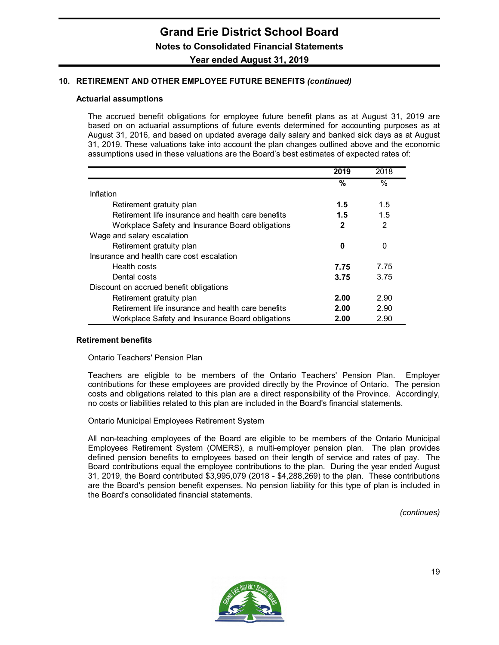#### **10. RETIREMENT AND OTHER EMPLOYEE FUTURE BENEFITS** *(continued)*

#### **Actuarial assumptions**

The accrued benefit obligations for employee future benefit plans as at August 31, 2019 are based on on actuarial assumptions of future events determined for accounting purposes as at August 31, 2016, and based on updated average daily salary and banked sick days as at August 31, 2019. These valuations take into account the plan changes outlined above and the economic assumptions used in these valuations are the Board's best estimates of expected rates of:

|                                                    | 2019 | 2018           |
|----------------------------------------------------|------|----------------|
|                                                    | %    | $\%$           |
| Inflation                                          |      |                |
| Retirement gratuity plan                           | 1.5  | 1.5            |
| Retirement life insurance and health care benefits | 1.5  | 1.5            |
| Workplace Safety and Insurance Board obligations   | 2    | $\overline{2}$ |
| Wage and salary escalation                         |      |                |
| Retirement gratuity plan                           | 0    | 0              |
| Insurance and health care cost escalation          |      |                |
| Health costs                                       | 7.75 | 7.75           |
| Dental costs                                       | 3.75 | 3.75           |
| Discount on accrued benefit obligations            |      |                |
| Retirement gratuity plan                           | 2.00 | 2.90           |
| Retirement life insurance and health care benefits | 2.00 | 2.90           |
| Workplace Safety and Insurance Board obligations   | 2.00 | 2.90           |

#### **Retirement benefits**

Ontario Teachers' Pension Plan

Teachers are eligible to be members of the Ontario Teachers' Pension Plan. Employer contributions for these employees are provided directly by the Province of Ontario. The pension costs and obligations related to this plan are a direct responsibility of the Province. Accordingly, no costs or liabilities related to this plan are included in the Board's financial statements.

Ontario Municipal Employees Retirement System

All non-teaching employees of the Board are eligible to be members of the Ontario Municipal Employees Retirement System (OMERS), a multi-employer pension plan. The plan provides defined pension benefits to employees based on their length of service and rates of pay. The Board contributions equal the employee contributions to the plan. During the year ended August 31, 2019, the Board contributed \$3,995,079 (2018 - \$4,288,269) to the plan. These contributions are the Board's pension benefit expenses. No pension liability for this type of plan is included in the Board's consolidated financial statements.

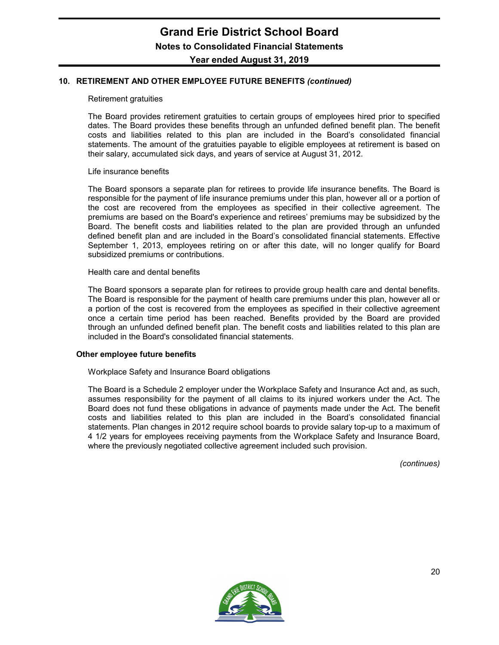#### **10. RETIREMENT AND OTHER EMPLOYEE FUTURE BENEFITS** *(continued)*

#### Retirement gratuities

The Board provides retirement gratuities to certain groups of employees hired prior to specified dates. The Board provides these benefits through an unfunded defined benefit plan. The benefit costs and liabilities related to this plan are included in the Board's consolidated financial statements. The amount of the gratuities payable to eligible employees at retirement is based on their salary, accumulated sick days, and years of service at August 31, 2012.

#### Life insurance benefits

The Board sponsors a separate plan for retirees to provide life insurance benefits. The Board is responsible for the payment of life insurance premiums under this plan, however all or a portion of the cost are recovered from the employees as specified in their collective agreement. The premiums are based on the Board's experience and retirees' premiums may be subsidized by the Board. The benefit costs and liabilities related to the plan are provided through an unfunded defined benefit plan and are included in the Board's consolidated financial statements. Effective September 1, 2013, employees retiring on or after this date, will no longer qualify for Board subsidized premiums or contributions.

#### Health care and dental benefits

The Board sponsors a separate plan for retirees to provide group health care and dental benefits. The Board is responsible for the payment of health care premiums under this plan, however all or a portion of the cost is recovered from the employees as specified in their collective agreement once a certain time period has been reached. Benefits provided by the Board are provided through an unfunded defined benefit plan. The benefit costs and liabilities related to this plan are included in the Board's consolidated financial statements.

#### **Other employee future benefits**

Workplace Safety and Insurance Board obligations

The Board is a Schedule 2 employer under the Workplace Safety and Insurance Act and, as such, assumes responsibility for the payment of all claims to its injured workers under the Act. The Board does not fund these obligations in advance of payments made under the Act. The benefit costs and liabilities related to this plan are included in the Board's consolidated financial statements. Plan changes in 2012 require school boards to provide salary top-up to a maximum of 4 1/2 years for employees receiving payments from the Workplace Safety and Insurance Board, where the previously negotiated collective agreement included such provision.

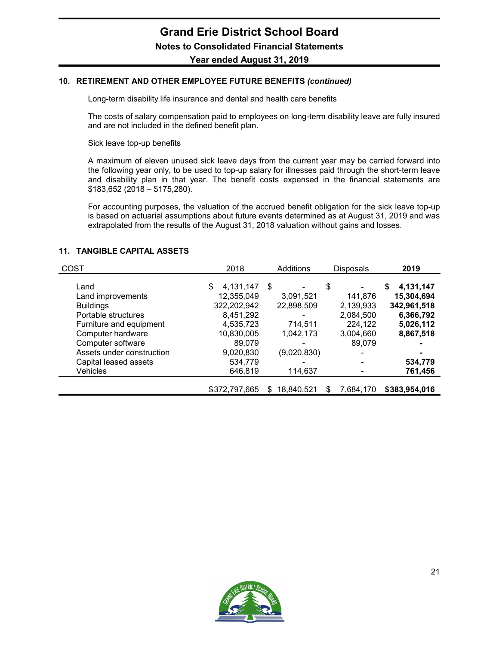#### **10. RETIREMENT AND OTHER EMPLOYEE FUTURE BENEFITS** *(continued)*

Long-term disability life insurance and dental and health care benefits

The costs of salary compensation paid to employees on long-term disability leave are fully insured and are not included in the defined benefit plan.

Sick leave top-up benefits

A maximum of eleven unused sick leave days from the current year may be carried forward into the following year only, to be used to top-up salary for illnesses paid through the short-term leave and disability plan in that year. The benefit costs expensed in the financial statements are \$183,652 (2018 – \$175,280).

For accounting purposes, the valuation of the accrued benefit obligation for the sick leave top-up is based on actuarial assumptions about future events determined as at August 31, 2019 and was extrapolated from the results of the August 31, 2018 valuation without gains and losses.

#### **11. TANGIBLE CAPITAL ASSETS**

| COST                                           | 2018                          | Additions        | <b>Disposals</b>     | 2019                         |
|------------------------------------------------|-------------------------------|------------------|----------------------|------------------------------|
| Land<br>Land improvements                      | 4,131,147<br>\$<br>12,355,049 | S<br>3,091,521   | \$<br>141,876        | 4,131,147<br>S<br>15,304,694 |
| <b>Buildings</b>                               | 322,202,942                   | 22,898,509       | 2,139,933            | 342,961,518                  |
| Portable structures<br>Furniture and equipment | 8,451,292<br>4,535,723        | 714,511          | 2,084,500<br>224,122 | 6,366,792<br>5,026,112       |
| Computer hardware                              | 10,830,005                    | 1,042,173        | 3,004,660            | 8,867,518                    |
| Computer software<br>Assets under construction | 89,079<br>9,020,830           | -<br>(9,020,830) | 89,079               |                              |
| Capital leased assets<br><b>Vehicles</b>       | 534,779<br>646,819            | 114,637          |                      | 534,779<br>761,456           |
|                                                | \$372,797,665                 | 18.840.521<br>S  | 7.684.170<br>S       | \$383,954,016                |

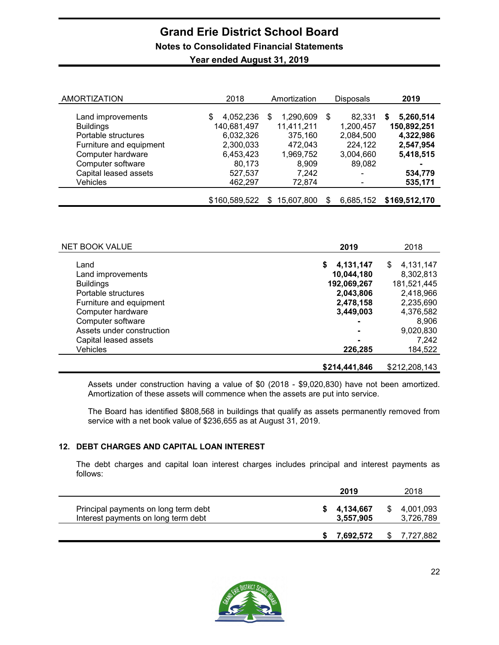# **Grand Erie District School Board Notes to Consolidated Financial Statements**

| <b>AMORTIZATION</b>     | 2018           | Amortization    | Disposals      | 2019           |
|-------------------------|----------------|-----------------|----------------|----------------|
|                         |                |                 |                |                |
| Land improvements       | 4,052,236<br>S | 1,290,609<br>S  | 82,331<br>S    | 5,260,514<br>S |
| <b>Buildings</b>        | 140,681,497    | 11,411,211      | 1,200,457      | 150,892,251    |
| Portable structures     | 6,032,326      | 375,160         | 2,084,500      | 4,322,986      |
| Furniture and equipment | 2,300,033      | 472,043         | 224,122        | 2,547,954      |
| Computer hardware       | 6,453,423      | 1,969,752       | 3,004,660      | 5,418,515      |
| Computer software       | 80,173         | 8,909           | 89,082         | ۰              |
| Capital leased assets   | 527,537        | 7,242           |                | 534,779        |
| <b>Vehicles</b>         | 462,297        | 72,874          |                | 535,171        |
|                         | \$160,589,522  | 15,607,800<br>S | 6,685,152<br>S | \$169,512,170  |

| Year ended August 31, 2019 |  |
|----------------------------|--|
|                            |  |

| NET BOOK VALUE                                                                                                                                                         | 2019                                                                                     | 2018                                                                                                     |
|------------------------------------------------------------------------------------------------------------------------------------------------------------------------|------------------------------------------------------------------------------------------|----------------------------------------------------------------------------------------------------------|
| Land<br>Land improvements<br><b>Buildings</b><br>Portable structures<br>Furniture and equipment<br>Computer hardware<br>Computer software<br>Assets under construction | 4,131,147<br>\$<br>10,044,180<br>192,069,267<br>2,043,806<br>2,478,158<br>3,449,003<br>- | 4,131,147<br>\$<br>8,302,813<br>181,521,445<br>2,418,966<br>2,235,690<br>4,376,582<br>8,906<br>9,020,830 |
| Capital leased assets<br><b>Vehicles</b>                                                                                                                               | $\blacksquare$<br>226,285                                                                | 7,242<br>184,522                                                                                         |
|                                                                                                                                                                        | \$214,441,846                                                                            | \$212,208,143                                                                                            |

Assets under construction having a value of \$0 (2018 - \$9,020,830) have not been amortized. Amortization of these assets will commence when the assets are put into service.

The Board has identified \$808,568 in buildings that qualify as assets permanently removed from service with a net book value of \$236,655 as at August 31, 2019.

#### **12. DEBT CHARGES AND CAPITAL LOAN INTEREST**

The debt charges and capital loan interest charges includes principal and interest payments as follows:

|                                                                             | 2019                   | 2018                   |
|-----------------------------------------------------------------------------|------------------------|------------------------|
| Principal payments on long term debt<br>Interest payments on long term debt | 4,134,667<br>3,557,905 | 4,001,093<br>3,726,789 |
|                                                                             | 7,692,572              | 7,727,882              |

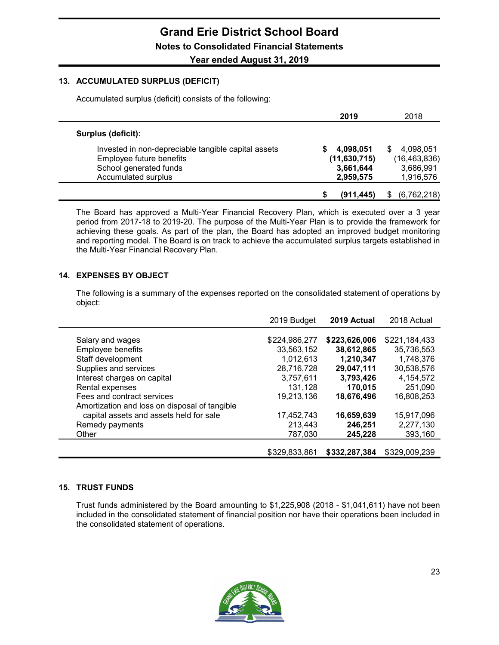#### **13. ACCUMULATED SURPLUS (DEFICIT)**

Accumulated surplus (deficit) consists of the following:

|                                                     | 2019           | 2018              |
|-----------------------------------------------------|----------------|-------------------|
| Surplus (deficit):                                  |                |                   |
| Invested in non-depreciable tangible capital assets | 4,098,051      | 4,098,051<br>S    |
| Employee future benefits                            | (11, 630, 715) | (16, 463, 836)    |
| School generated funds                              | 3,661,644      | 3,686,991         |
| Accumulated surplus                                 | 2,959,575      | 1,916,576         |
|                                                     | (911.445)      | (6,762,218)<br>\$ |

The Board has approved a Multi-Year Financial Recovery Plan, which is executed over a 3 year period from 2017-18 to 2019-20. The purpose of the Multi-Year Plan is to provide the framework for achieving these goals. As part of the plan, the Board has adopted an improved budget monitoring and reporting model. The Board is on track to achieve the accumulated surplus targets established in the Multi-Year Financial Recovery Plan.

#### **14. EXPENSES BY OBJECT**

The following is a summary of the expenses reported on the consolidated statement of operations by object:

|                                                                                          | 2019 Budget   | 2019 Actual   | 2018 Actual   |
|------------------------------------------------------------------------------------------|---------------|---------------|---------------|
| Salary and wages                                                                         | \$224,986,277 | \$223,626,006 | \$221,184,433 |
| Employee benefits                                                                        | 33,563,152    | 38,612,865    | 35,736,553    |
| Staff development                                                                        | 1,012,613     | 1,210,347     | 1,748,376     |
| Supplies and services                                                                    | 28,716,728    | 29,047,111    | 30,538,576    |
| Interest charges on capital                                                              | 3,757,611     | 3,793,426     | 4,154,572     |
| Rental expenses                                                                          | 131,128       | 170,015       | 251,090       |
| Fees and contract services                                                               | 19,213,136    | 18,676,496    | 16,808,253    |
| Amortization and loss on disposal of tangible<br>capital assets and assets held for sale | 17,452,743    | 16,659,639    | 15,917,096    |
| Remedy payments                                                                          | 213,443       | 246,251       | 2,277,130     |
| Other                                                                                    | 787.030       | 245,228       | 393,160       |
|                                                                                          | \$329,833,861 | \$332,287,384 | \$329,009.239 |

#### **15. TRUST FUNDS**

Trust funds administered by the Board amounting to \$1,225,908 (2018 - \$1,041,611) have not been included in the consolidated statement of financial position nor have their operations been included in the consolidated statement of operations.

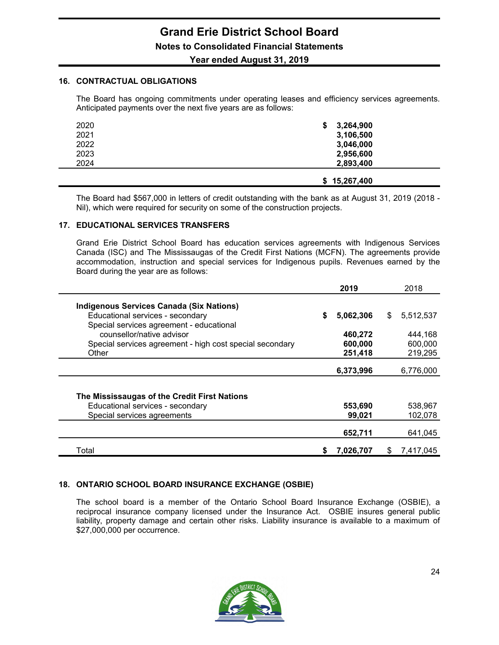### **Year ended August 31, 2019**

#### **16. CONTRACTUAL OBLIGATIONS**

The Board has ongoing commitments under operating leases and efficiency services agreements. Anticipated payments over the next five years are as follows:

| 2020 | 3,264,900<br>\$ |
|------|-----------------|
| 2021 | 3,106,500       |
| 2022 | 3,046,000       |
| 2023 | 2,956,600       |
| 2024 | 2,893,400       |
|      | \$15,267,400    |

The Board had \$567,000 in letters of credit outstanding with the bank as at August 31, 2019 (2018 - Nil), which were required for security on some of the construction projects.

#### **17. EDUCATIONAL SERVICES TRANSFERS**

Grand Erie District School Board has education services agreements with Indigenous Services Canada (ISC) and The Mississaugas of the Credit First Nations (MCFN). The agreements provide accommodation, instruction and special services for Indigenous pupils. Revenues earned by the Board during the year are as follows:

|                                                          |    | 2019      |     | 2018      |
|----------------------------------------------------------|----|-----------|-----|-----------|
| <b>Indigenous Services Canada (Six Nations)</b>          |    |           |     |           |
| Educational services - secondary                         | \$ | 5,062,306 | \$  | 5,512,537 |
| Special services agreement - educational                 |    |           |     |           |
| counsellor/native advisor                                |    | 460,272   |     | 444,168   |
| Special services agreement - high cost special secondary |    | 600,000   |     | 600,000   |
| Other                                                    |    | 251,418   |     | 219,295   |
|                                                          |    |           |     |           |
|                                                          |    | 6,373,996 |     | 6,776,000 |
|                                                          |    |           |     |           |
| The Mississaugas of the Credit First Nations             |    |           |     |           |
| Educational services - secondary                         |    | 553,690   |     | 538,967   |
| Special services agreements                              |    | 99,021    |     | 102,078   |
|                                                          |    |           |     |           |
|                                                          |    | 652,711   |     | 641,045   |
| Total                                                    | S  | 7,026,707 | \$. | 7,417,045 |

#### **18. ONTARIO SCHOOL BOARD INSURANCE EXCHANGE (OSBIE)**

The school board is a member of the Ontario School Board Insurance Exchange (OSBIE), a reciprocal insurance company licensed under the Insurance Act. OSBIE insures general public liability, property damage and certain other risks. Liability insurance is available to a maximum of \$27,000,000 per occurrence.